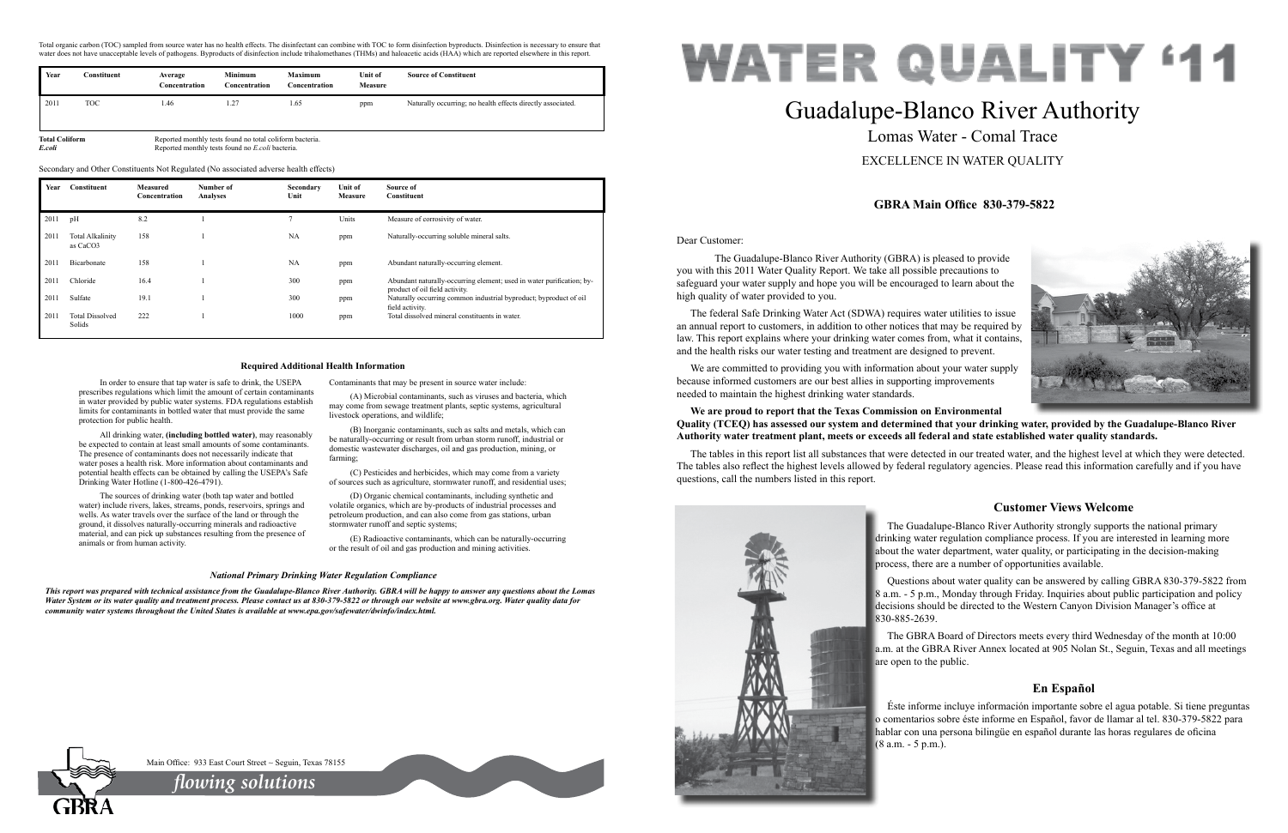Dear Customer:

 The Guadalupe-Blanco River Authority (GBRA) is pleased to provide you with this 2011 Water Quality Report. We take all possible precautions to safeguard your water supply and hope you will be encouraged to learn about the high quality of water provided to you.

The federal Safe Drinking Water Act (SDWA) requires water utilities to issue an annual report to customers, in addition to other notices that may be required by law. This report explains where your drinking water comes from, what it contains, and the health risks our water testing and treatment are designed to prevent.

We are committed to providing you with information about your water supply because informed customers are our best allies in supporting improvements needed to maintain the highest drinking water standards.

### **We are proud to report that the Texas Commission on Environmental Quality (TCEQ) has assessed our system and determined that your drinking water, provided by the Guadalupe-Blanco River Authority water treatment plant, meets or exceeds all federal and state established water quality standards.**

The tables in this report list all substances that were detected in our treated water, and the highest level at which they were detected. The tables also reflect the highest levels allowed by federal regulatory agencies. Please read this information carefully and if you have questions, call the numbers listed in this report.



# Guadalupe-Blanco River Authority Lomas Water - Comal Trace EXCELLENCE IN WATER QUALITY



# **GBRA Main Office 830-379-5822**

# **Customer Views Welcome**

The Guadalupe-Blanco River Authority strongly supports the national primary drinking water regulation compliance process. If you are interested in learning more about the water department, water quality, or participating in the decision-making process, there are a number of opportunities available.

Questions about water quality can be answered by calling GBRA 830-379-5822 from 8 a.m. - 5 p.m., Monday through Friday. Inquiries about public participation and policy decisions should be directed to the Western Canyon Division Manager's office at 830-885-2639.

The GBRA Board of Directors meets every third Wednesday of the month at 10:00 a.m. at the GBRA River Annex located at 905 Nolan St., Seguin, Texas and all meetings are open to the public.

## **En Español**

Éste informe incluye información importante sobre el agua potable. Si tiene preguntas o comentarios sobre éste informe en Español, favor de llamar al tel. 830-379-5822 para hablar con una persona bilingüe en español durante las horas regulares de oficina (8 a.m. - 5 p.m.).



Main Office: 933 East Court Street ~ Seguin, Texas 78155

In order to ensure that tap water is safe to drink, the USEPA prescribes regulations which limit the amount of certain contaminants in water provided by public water systems. FDA regulations establish limits for contaminants in bottled water that must provide the same protection for public health.

All drinking water, **(including bottled water)**, may reasonably be expected to contain at least small amounts of some contaminants. The presence of contaminants does not necessarily indicate that water poses a health risk. More information about contaminants and potential health effects can be obtained by calling the USEPA's Safe Drinking Water Hotline (1-800-426-4791).

The sources of drinking water (both tap water and bottled water) include rivers, lakes, streams, ponds, reservoirs, springs and wells. As water travels over the surface of the land or through the ground, it dissolves naturally-occurring minerals and radioactive material, and can pick up substances resulting from the presence of animals or from human activity.

Contaminants that may be present in source water include:

(A) Microbial contaminants, such as viruses and bacteria, which may come from sewage treatment plants, septic systems, agricultural livestock operations, and wildlife;

(B) Inorganic contaminants, such as salts and metals, which can be naturally-occurring or result from urban storm runoff, industrial or domestic wastewater discharges, oil and gas production, mining, or farming;

(C) Pesticides and herbicides, which may come from a variety of sources such as agriculture, stormwater runoff, and residential uses;

(D) Organic chemical contaminants, including synthetic and volatile organics, which are by-products of industrial processes and petroleum production, and can also come from gas stations, urban stormwater runoff and septic systems;

(E) Radioactive contaminants, which can be naturally-occurring or the result of oil and gas production and mining activities.

#### **Required Additional Health Information**

#### *National Primary Drinking Water Regulation Compliance*

*This report was prepared with technical assistance from the Guadalupe-Blanco River Authority. GBRA will be happy to answer any questions about the Lomas Water System or its water quality and treatment process. Please contact us at 830-379-5822 or through our website at www.gbra.org. Water quality data for community water systems throughout the United States is available at www.epa.gov/safewater/dwinfo/index.html.*

Total organic carbon (TOC) sampled from source water has no health effects. The disinfectant can combine with TOC to form disinfection byproducts. Disinfection is necessary to ensure that water does not have unacceptable levels of pathogens. Byproducts of disinfection include trihalomethanes (THMs) and haloacetic acids (HAA) which are reported elsewhere in this report.

| Year                                                                              | Constituent | Average<br>Concentration | <b>Minimum</b><br>Concentration | <b>Maximum</b><br>Concentration | Unit of<br><b>Measure</b> | <b>Source of Constituent</b>                                |
|-----------------------------------------------------------------------------------|-------------|--------------------------|---------------------------------|---------------------------------|---------------------------|-------------------------------------------------------------|
| 2011                                                                              | TOC         | 1.46                     | 1.27                            | 1.65                            | ppm                       | Naturally occurring; no health effects directly associated. |
| <b>Total Coliform</b><br>Reported monthly tests found no total coliform bacteria. |             |                          |                                 |                                 |                           |                                                             |

*E.coli* Reported monthly tests found no *E.coli* bacteria.

| Year | Constituent                         | <b>Measured</b><br>Concentration | Number of<br>Analyses | Secondary<br>Unit | <b>Unit of</b><br><b>Measure</b> | Source of<br>Constituent                                                                                |
|------|-------------------------------------|----------------------------------|-----------------------|-------------------|----------------------------------|---------------------------------------------------------------------------------------------------------|
| 2011 | pH                                  | 8.2                              |                       |                   | Units                            | Measure of corrosivity of water.                                                                        |
| 2011 | <b>Total Alkalinity</b><br>as CaCO3 | 158                              |                       | <b>NA</b>         | ppm                              | Naturally-occurring soluble mineral salts.                                                              |
| 2011 | Bicarbonate                         | 158                              |                       | <b>NA</b>         | ppm                              | Abundant naturally-occurring element.                                                                   |
| 2011 | Chloride                            | 16.4                             |                       | 300               | ppm                              | Abundant naturally-occurring element; used in water purification; by-<br>product of oil field activity. |
| 2011 | Sulfate                             | 19.1                             |                       | 300               | ppm                              | Naturally occurring common industrial byproduct; byproduct of oil<br>field activity.                    |
| 2011 | <b>Total Dissolved</b><br>Solids    | 222                              |                       | 1000              | ppm                              | Total dissolved mineral constituents in water.                                                          |

Secondary and Other Constituents Not Regulated (No associated adverse health effects)

*flowing solutions*